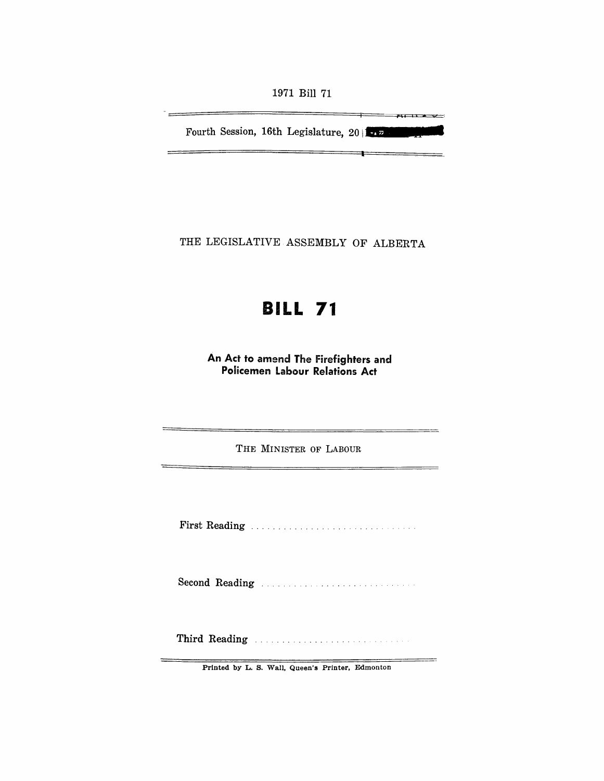1971 Bill 71

**,.L.** 

 $\equiv$ 

Fourth Session, 16th Legislature, 20 **I** 

 $\equiv$ 

THE LEGISLATIVE ASSEMBLY OF ALBERTA

# **BILL 71**

An Act to amend The Firefighters and Policemen Labour Relations Act

THE MINISTER OF LABOUR

First Reading .................. .

Second Reading ..

Third Reading .................. .

Printed by L. S. Wall, Queen's Printer, Edmonton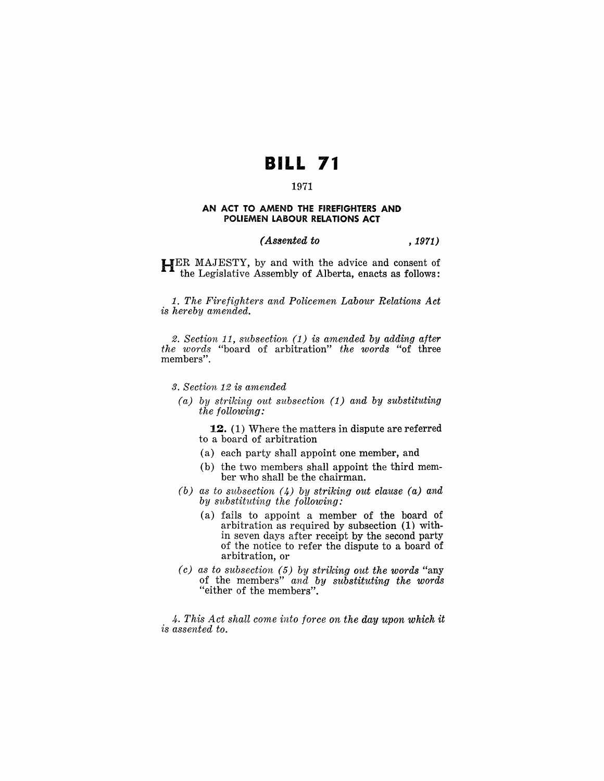# **BILL 71**

# 1971

#### AN ACT TO AMEND THE FIREFIGHTERS AND POLIEMEN LABOUR RELATIONS ACT

### *(Assented to* , 1971)

HER MAJESTY, by and with the advice and consent of the Legislative Assembly of Alberta, enacts as follows:

1. *The Firefighters and Policemen Labour Relations Act is hereby amended.* 

2. *Section* 11, *subsection* (1) *is amended by adding after the words* "board of arbitration" *the words* "of three members".

#### *3. Section* 12 *is amended*

*(a) by striking out subsection* (1) *and by substituting the following:* 

12. (1) Where the matters in dispute are referred to a board of arbitration

- (a) each party shall appoint one member, and
- (b) the two members shall appoint the third member who shall be the chairman.
- *(b) as to subsection* (4) *by striking out clause (a) and by substituting the following:* 
	- (a) fails to appoint a member of the board of arbitration as required by subsection (1) within seven days after receipt by the second party of the notice to refer the dispute to a board of arbitration, or
- ( *c) as to subsection* (5) *by striking out the words* "any of the members" *and by substituting the words*  "either of the members".

*4. This Act shall come into force on the day upon which it is assented to.*